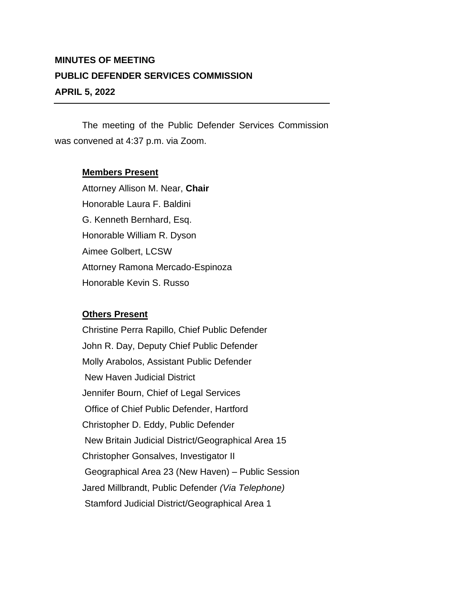## **MINUTES OF MEETING PUBLIC DEFENDER SERVICES COMMISSION APRIL 5, 2022**

The meeting of the Public Defender Services Commission was convened at 4:37 p.m. via Zoom.

## **Members Present**

Attorney Allison M. Near, **Chair** Honorable Laura F. Baldini G. Kenneth Bernhard, Esq. Honorable William R. Dyson Aimee Golbert, LCSW Attorney Ramona Mercado-Espinoza Honorable Kevin S. Russo

## **Others Present**

Christine Perra Rapillo, Chief Public Defender John R. Day, Deputy Chief Public Defender Molly Arabolos, Assistant Public Defender New Haven Judicial District Jennifer Bourn, Chief of Legal Services Office of Chief Public Defender, Hartford Christopher D. Eddy, Public Defender New Britain Judicial District/Geographical Area 15 Christopher Gonsalves, Investigator II Geographical Area 23 (New Haven) – Public Session Jared Millbrandt, Public Defender *(Via Telephone)* Stamford Judicial District/Geographical Area 1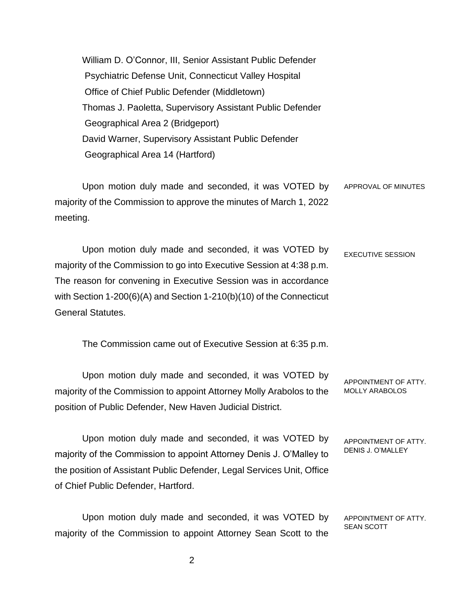William D. O'Connor, III, Senior Assistant Public Defender Psychiatric Defense Unit, Connecticut Valley Hospital Office of Chief Public Defender (Middletown) Thomas J. Paoletta, Supervisory Assistant Public Defender Geographical Area 2 (Bridgeport) David Warner, Supervisory Assistant Public Defender Geographical Area 14 (Hartford)

Upon motion duly made and seconded, it was VOTED by majority of the Commission to approve the minutes of March 1, 2022 meeting. APPROVAL OF MINUTES

Upon motion duly made and seconded, it was VOTED by majority of the Commission to go into Executive Session at 4:38 p.m. The reason for convening in Executive Session was in accordance with Section 1-200(6)(A) and Section 1-210(b)(10) of the Connecticut General Statutes. EXECUTIVE SESSION

The Commission came out of Executive Session at 6:35 p.m.

Upon motion duly made and seconded, it was VOTED by majority of the Commission to appoint Attorney Molly Arabolos to the position of Public Defender, New Haven Judicial District. APPOINTMENT OF ATTY. MOLLY ARABOLOS

Upon motion duly made and seconded, it was VOTED by majority of the Commission to appoint Attorney Denis J. O'Malley to the position of Assistant Public Defender, Legal Services Unit, Office of Chief Public Defender, Hartford. APPOINTMENT OF ATTY. DENIS J. O'MALLEY

Upon motion duly made and seconded, it was VOTED by majority of the Commission to appoint Attorney Sean Scott to the APPOINTMENT OF ATTY. SEAN SCOTT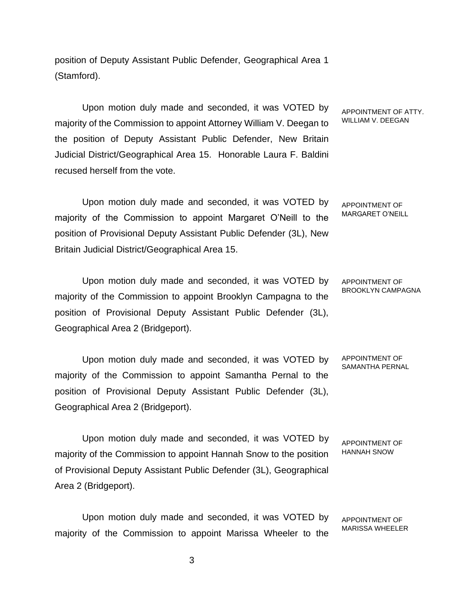position of Deputy Assistant Public Defender, Geographical Area 1 (Stamford).

Upon motion duly made and seconded, it was VOTED by majority of the Commission to appoint Attorney William V. Deegan to the position of Deputy Assistant Public Defender, New Britain Judicial District/Geographical Area 15. Honorable Laura F. Baldini recused herself from the vote.

Upon motion duly made and seconded, it was VOTED by majority of the Commission to appoint Margaret O'Neill to the position of Provisional Deputy Assistant Public Defender (3L), New Britain Judicial District/Geographical Area 15.

Upon motion duly made and seconded, it was VOTED by majority of the Commission to appoint Brooklyn Campagna to the position of Provisional Deputy Assistant Public Defender (3L), Geographical Area 2 (Bridgeport).

Upon motion duly made and seconded, it was VOTED by majority of the Commission to appoint Samantha Pernal to the position of Provisional Deputy Assistant Public Defender (3L), Geographical Area 2 (Bridgeport).

Upon motion duly made and seconded, it was VOTED by majority of the Commission to appoint Hannah Snow to the position of Provisional Deputy Assistant Public Defender (3L), Geographical Area 2 (Bridgeport). APPOINTMENT OF HANNAH SNOW

Upon motion duly made and seconded, it was VOTED by majority of the Commission to appoint Marissa Wheeler to the APPOINTMENT OF

APPOINTMENT OF ATTY. WILLIAM V. DEEGAN

APPOINTMENT OF MARGARET O'NEILL

APPOINTMENT OF BROOKLYN CAMPAGNA

APPOINTMENT OF SAMANTHA PERNAL

MARISSA WHEELER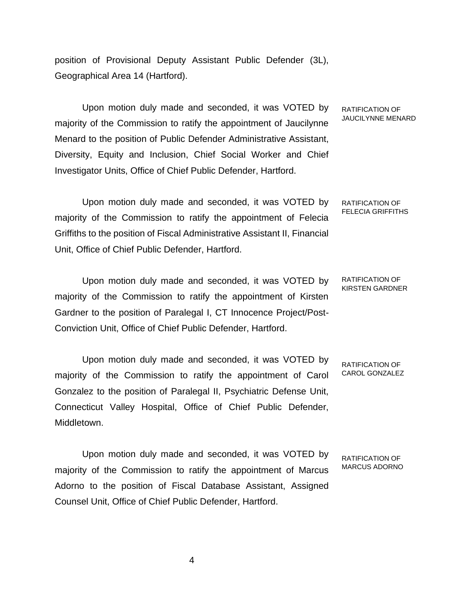position of Provisional Deputy Assistant Public Defender (3L), Geographical Area 14 (Hartford).

Upon motion duly made and seconded, it was VOTED by majority of the Commission to ratify the appointment of Jaucilynne Menard to the position of Public Defender Administrative Assistant, Diversity, Equity and Inclusion, Chief Social Worker and Chief Investigator Units, Office of Chief Public Defender, Hartford.

Upon motion duly made and seconded, it was VOTED by majority of the Commission to ratify the appointment of Felecia Griffiths to the position of Fiscal Administrative Assistant II, Financial Unit, Office of Chief Public Defender, Hartford. RATIFICATION OF FELECIA GRIFFITHS

Upon motion duly made and seconded, it was VOTED by majority of the Commission to ratify the appointment of Kirsten Gardner to the position of Paralegal I, CT Innocence Project/Post-Conviction Unit, Office of Chief Public Defender, Hartford. RATIFICATION OF KIRSTEN GARDNER

Upon motion duly made and seconded, it was VOTED by majority of the Commission to ratify the appointment of Carol Gonzalez to the position of Paralegal II, Psychiatric Defense Unit, Connecticut Valley Hospital, Office of Chief Public Defender, Middletown. RATIFICATION OF CAROL GONZALEZ

Upon motion duly made and seconded, it was VOTED by majority of the Commission to ratify the appointment of Marcus Adorno to the position of Fiscal Database Assistant, Assigned Counsel Unit, Office of Chief Public Defender, Hartford.

RATIFICATION OF MARCUS ADORNO

RATIFICATION OF JAUCILYNNE MENARD

4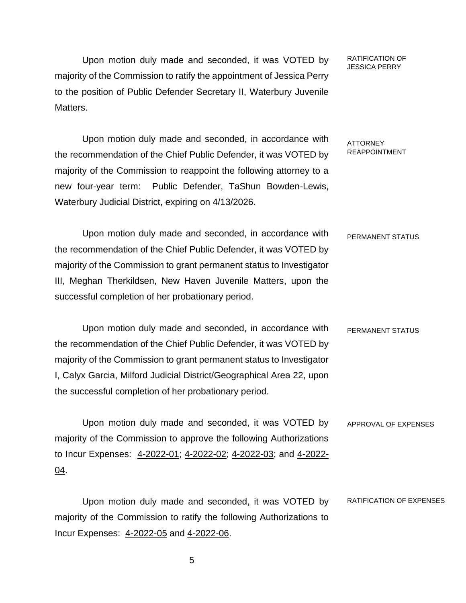Upon motion duly made and seconded, it was VOTED by majority of the Commission to ratify the appointment of Jessica Perry to the position of Public Defender Secretary II, Waterbury Juvenile Matters.

RATIFICATION OF JESSICA PERRY

Upon motion duly made and seconded, in accordance with the recommendation of the Chief Public Defender, it was VOTED by majority of the Commission to reappoint the following attorney to a new four-year term: Public Defender, TaShun Bowden-Lewis, Waterbury Judicial District, expiring on 4/13/2026. ATTORNEY REAPPOINTMENT

Upon motion duly made and seconded, in accordance with the recommendation of the Chief Public Defender, it was VOTED by majority of the Commission to grant permanent status to Investigator III, Meghan Therkildsen, New Haven Juvenile Matters, upon the successful completion of her probationary period. PERMANENT STATUS

Upon motion duly made and seconded, in accordance with the recommendation of the Chief Public Defender, it was VOTED by majority of the Commission to grant permanent status to Investigator I, Calyx Garcia, Milford Judicial District/Geographical Area 22, upon the successful completion of her probationary period. PERMANENT STATUS

Upon motion duly made and seconded, it was VOTED by majority of the Commission to approve the following Authorizations to Incur Expenses: 4-2022-01; 4-2022-02; 4-2022-03; and 4-2022- 04. APPROVAL OF EXPENSES

Upon motion duly made and seconded, it was VOTED by majority of the Commission to ratify the following Authorizations to Incur Expenses: 4-2022-05 and 4-2022-06. RATIFICATION OF EXPENSES